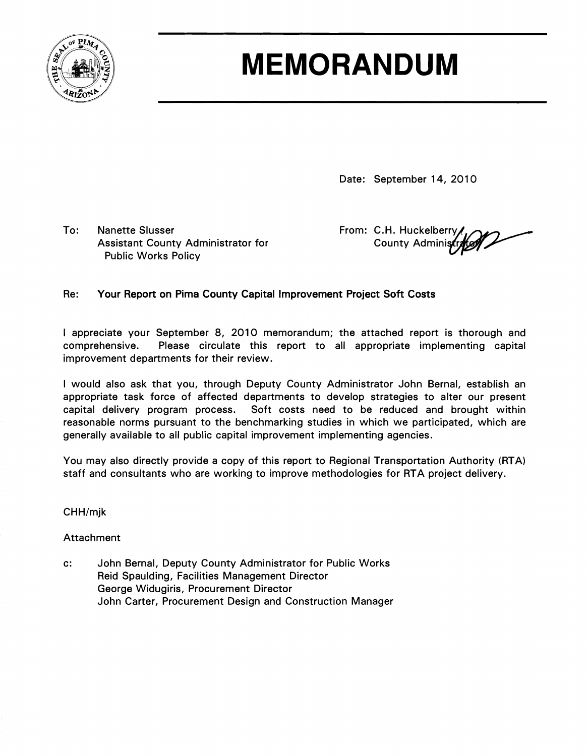

### **MEMORANDUM**

Date: September 14, 2010

To: Nanette Slusser **From: C.H. Huckelberry** From: C.H. Huckelberry Assistant County Administrator for Public Works Policy

County Administr

#### Re: Your Report on Pima County Capital Improvement Project Soft Costs

I appreciate your September 8, 2010 memorandum; the attached report is thorough and comprehensive. Please circulate this report to all appropriate implementing capital improvement departments for their review.

I would also ask that you, through Deputy County Administrator John Bernal, establish an appropriate task force of affected departments to develop strategies to alter our present capital delivery program process. Soft costs need to be reduced and brought within reasonable norms pursuant to the benchmarking studies in which we participated, which are generally available to all public capital improvement implementing agencies.

You may also directly provide a copy of this report to Regional Transportation Authority (RTA) staff and consultants who are working to improve methodologies for RTA project delivery.

CHH/mjk

Attachment

c: John Bernal, Deputy County Administrator for Public Works Reid Spaulding, Facilities Management Director George Widugiris, Procurement Director John Carter, Procurement Design and Construction Manager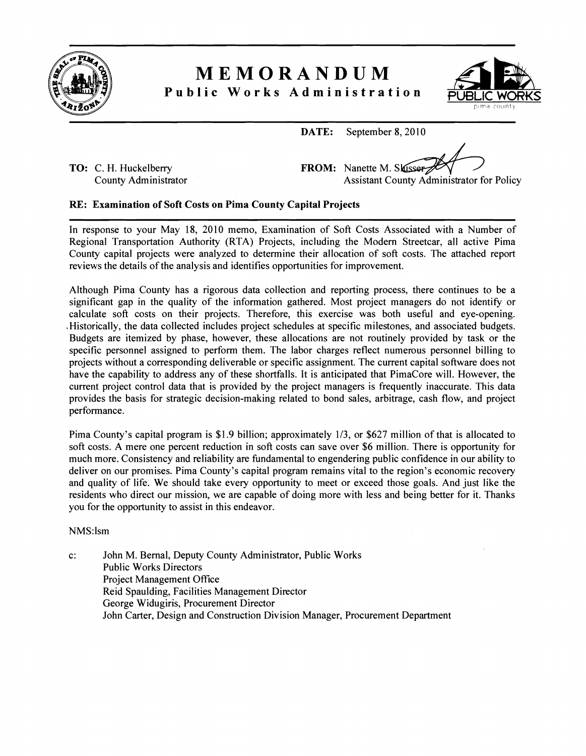

### **MEMORANDUM**



**Public Works Administration** 

**TO:**  C. H. Huckelberry County Administrator

|       | ANDUM<br>dministration   | <b>IC WORK</b><br>pima countv                    |
|-------|--------------------------|--------------------------------------------------|
| DATE: | September 8, 2010        |                                                  |
|       | FROM: Nanette M. Skusser | <b>Assistant County Administrator for Policy</b> |

#### **RE: Examination of Soft Costs on Pima County Capital Projects**

In response to your May 18, 2010 memo, Examination of Soft Costs Associated with a Number of Regional Transportation Authority (RTA) Projects, including the Modem Streetcar, all active Pima County capital projects were analyzed to determine their allocation of soft costs. The attached report reviews the details of the analysis and identifies opportunities for improvement.

Although Pima County has a rigorous data collection and reporting process, there continues to be a significant gap in the quality of the information gathered. Most project managers do not identify or calculate soft costs on their projects. Therefore, this exercise was both useful and eye-opening. Historically, the data collected includes project schedules at specific milestones, and associated budgets. Budgets are itemized by phase, however, these allocations are not routinely provided by task or the specific personnel assigned to perform them. The labor charges reflect numerous personnel billing to projects without a corresponding deliverable or specific assignment. The current capital software does not have the capability to address any of these shortfalls. It is anticipated that PimaCore will. However, the current project control data that is provided by the project managers is frequently inaccurate. This data provides the basis for strategic decision-making related to bond sales, arbitrage, cash flow, and project performance.

Pima County's capital program is \$1.9 billion; approximately **113,** or \$627 million of that is allocated to soft costs. A mere one percent reduction in soft costs can save over \$6 million. There is opportunity for much more. Consistency and reliability are fundamental to engendering public confidence in our ability to deliver on our promises. Pima County's capital program remains vital to the region's economic recovery and quality of life. We should take every opportunity to meet or exceed those goals. And just like the residents who direct our mission, we are capable of doing more with less and being better for it. Thanks you for the opportunity to assist in this endeavor.

#### NMS:lsm

c: John M. Bemal, Deputy County Administrator, Public Works Public Works Directors Project Management Office Reid Spaulding, Facilities Management Director George Widugiris, Procurement Director John Carter, Design and Construction Division Manager, Procurement Department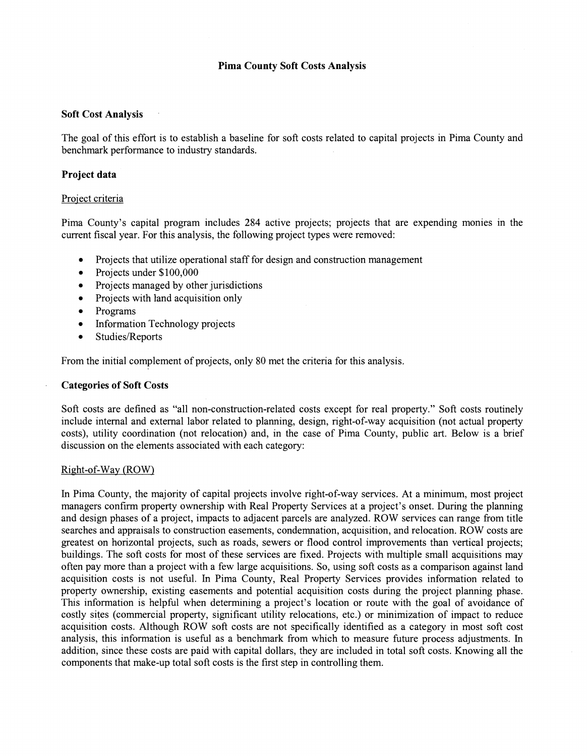#### **Pima County Soft Costs Analysis**

#### **Soft Cost Analysis**

The goal of this effort is to establish a baseline for soft costs related to capital projects in Pima County and benchmark performance to industry standards.

#### **Project data**

#### Project criteria

Pima County's capital program includes 284 active projects; projects that are expending monies in the current fiscal year. For this analysis, the following project types were removed:

- Projects that utilize operational staff for design and construction management
- Projects under \$100,000
- Projects managed by other jurisdictions  $\bullet$
- $\bullet$ Projects with land acquisition only
- $\bullet$ Programs
- Information Technology projects  $\bullet$
- Studies/Reports

From the initial complement of projects, only 80 met the criteria for this analysis.

#### **Categories of Soft Costs**

Soft costs are defined as "all non-construction-related costs except for real property." Soft costs routinely include internal and external labor related to planning, design, right-of-way acquisition (not actual property costs), utility coordination (not relocation) and, in the case of Pima County, public art. Below is a brief discussion on the elements associated with each category:

#### Right-of-way (ROW)

In Pima County, the majority of capital projects involve right-of-way services. At a minimum, most project managers confirm property ownership with Real Property Services at a project's onset. During the planning and design phases of a project, impacts to adjacent parcels are analyzed. ROW services can range from title searches and appraisals to construction easements, condemnation, acquisition, and relocation. ROW costs are greatest on horizontal projects, such as roads, sewers or flood control improvements than vertical projects; buildings. The soft costs for most of these services are fixed. Projects with multiple small acquisitions may often pay more than a project with a few large acquisitions. So, using soft costs as a comparison against land acquisition costs is not useful. In Pima County, Real Property Services provides information related to property ownership, existing easements and potential acquisition costs during the project planning phase. This information is helpful when determining a project's location or route with the goal of avoidance of costly sites (commercial property, significant utility relocations, etc.) or minimization of impact to reduce acquisition costs. Although ROW soft costs are not specifically identified as a category in most soft cost analysis, this information is useful as a benchmark from which to measure future process adjustments. In addition, since these costs are paid with capital dollars, they are included in total soft costs. Knowing all the components that make-up total soft costs is the first step in controlling them.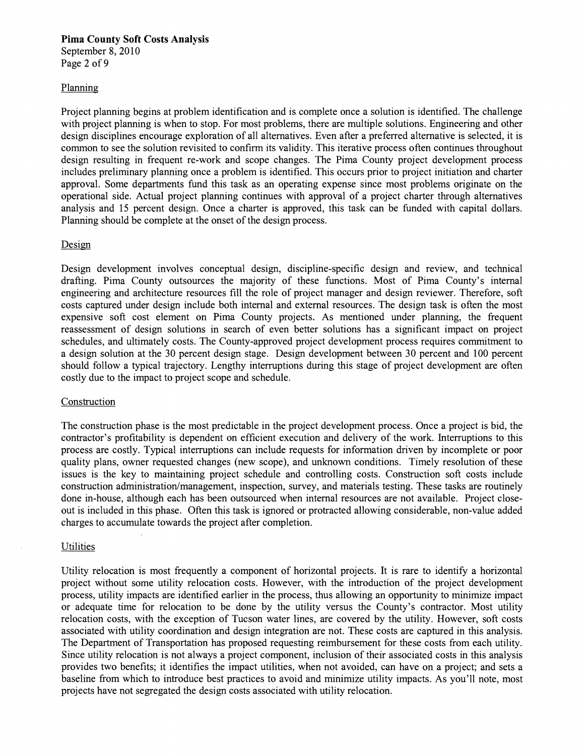#### **Pima County Soft Costs Analysis**  September 8, 2010

Page 2 of 9

#### Planning

Project planning begins at problem identification and is complete once a solution is identified. The challenge with project planning is when to stop. For most problems, there are multiple solutions. Engineering and other design disciplines encourage exploration of all alternatives. Even after a preferred alternative is selected, it is common to see the solution revisited to confirm its validity. This iterative process often continues throughout design resulting in frequent re-work and scope changes. The Pima County project development process includes preliminary planning once a problem is identified. This occurs prior to project initiation and charter approval. Some departments fund this task as an operating expense since most problems originate on the operational side. Actual project planning continues with approval of a project charter through alternatives analysis and 15 percent design. Once a charter is approved, this task can be funded with capital dollars. Planning should be complete at the onset of the design process.

#### Design

Design development involves conceptual design, discipline-specific design and review, and technical drafting. Pima County outsources the majority of these functions. Most of Pima County's internal engineering and architecture resources fill the role of project manager and design reviewer. Therefore, soft costs captured under design include both internal and external resources. The design task is often the most expensive soft cost element on Pima County projects. As mentioned under planning, the frequent reassessment of design solutions in search of even better solutions has a significant impact on project schedules, and ultimately costs. The County-approved project development process requires commitment to a design solution at the 30 percent design stage. Design development between 30 percent and 100 percent should follow a typical trajectory. Lengthy interruptions during this stage of project development are often costly due to the impact to project scope and schedule.

#### Construction

The construction phase is the most predictable in the project development process. Once a project is bid, the contractor's profitability is dependent on efficient execution and delivery of the work. Interruptions to this process are costly. Typical interruptions can include requests for information driven by incomplete or poor quality plans, owner requested changes (new scope), and unknown conditions. Timely resolution of these issues is the key to maintaining project schedule and controlling costs. Construction soft costs include construction administration/management, inspection, survey, and materials testing. These tasks are routinely done in-house, although each has been outsourced when internal resources are not available. Project closeout is included in this phase. Often this task is ignored or protracted allowing considerable, non-value added charges to accumulate towards the project after completion.

#### **Utilities**

Utility relocation is most fiequently a component of horizontal projects. It is rare to identify a horizontal project without some utility relocation costs. However, with the introduction of the project development process, utility impacts are identified earlier in the process, thus allowing an opportunity to minimize impact or adequate time for relocation to be done by the utility versus the County's contractor. Most utility relocation costs, with the exception of Tucson water lines, are covered by the utility. However, soft costs associated with utility coordination and design integration are not. These costs are captured in this analysis. The Department of Transportation has proposed requesting reimbursement for these costs from each utility. Since utility relocation is not always a project component, inclusion of their associated costs in this analysis provides two benefits; it identifies the impact utilities, when not avoided, can have on a project; and sets a baseline from which to introduce best practices to avoid and minimize utility impacts. As you'll note, most projects have not segregated the design costs associated with utility relocation.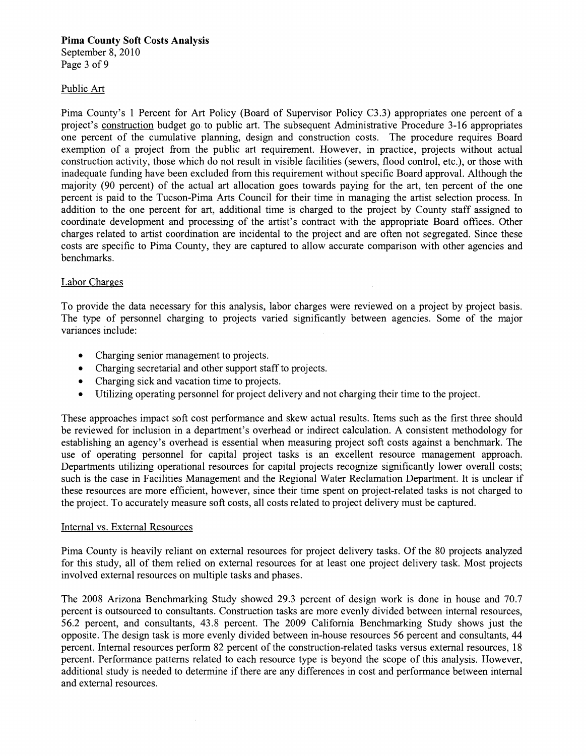#### **Pima County Soft Costs Analysis**  September 8, 2010

Page 3 of 9

#### Public *Art*

Pima County's 1 Percent for Art Policy (Board of Supervisor Policy C3.3) appropriates one percent of a project's construction budget go to public art. The subsequent Administrative Procedure 3-16 appropriates one percent of the cumulative planning, design and construction costs. The procedure requires Board exemption of a project from the public art requirement. However, in practice, projects without actual construction activity, those which do not result in visible facilities (sewers, flood control, etc.), or those with inadequate funding have been excluded from this requirement without specific Board approval. Although the majority (90 percent) of the actual art allocation goes towards paying for the art, ten percent of the one percent is paid to the Tucson-Pima Arts Council for their time in managing the artist selection process. In addition to the one percent for art, additional time is charged to the project by County staff assigned to coordinate development and processing of the artist's contract with the appropriate Board offices. Other charges related to artist coordination are incidental to the project and are often not segregated. Since these costs are specific to Pima County, they are captured to allow accurate comparison with other agencies and benchmarks.

#### Labor Charges

To provide the data necessary for this analysis, labor charges were reviewed on a project by project basis. The type of personnel charging to projects varied significantly between agencies. Some of the major variances include:

- Charging senior management to projects.
- Charging secretarial and other support staff to projects.  $\bullet$
- Charging sick and vacation time to projects.  $\bullet$
- Utilizing operating personnel for project delivery and not charging their time to the project.  $\bullet$

These approaches impact soft cost performance and skew actual results. Items such as the first three should be reviewed for inclusion in a department's overhead or indirect calculation. A consistent methodology for establishing an agency's overhead is essential when measuring project soft costs against a benchmark. The use of operating personnel for capital project tasks is an excellent resource management approach. Departments utilizing operational resources for capital projects recognize significantly lower overall costs; such is the case in Facilities Management and the Regional Water Reclamation Department. It is unclear if these resources are more efficient, however, since their time spent on project-related tasks is not charged to the project. To accurately measure soft costs, all costs related to project delivery must be captured.

#### Internal vs. External Resources

Pima County is heavily reliant on external resources for project delivery tasks. Of the 80 projects analyzed for this study, all of them relied on external resources for at least one project delivery task. Most projects involved external resources on multiple tasks and phases.

The 2008 Arizona Benchmarking Study showed 29.3 percent of design work is done in house and 70.7 percent is outsourced to consultants. Construction tasks are more evenly divided between internal resources, 56.2 percent, and consultants, 43.8 percent. The 2009 California Benchmarking Study shows just the opposite. The design task is more evenly divided between in-house resources 56 percent and consultants, 44 percent. Internal resources perform 82 percent of the construction-related tasks versus external resources, 18 percent. Performance patterns related to each resource type is beyond the scope of this analysis. However, additional study is needed to determine if there are any differences in cost and performance between internal and external resources.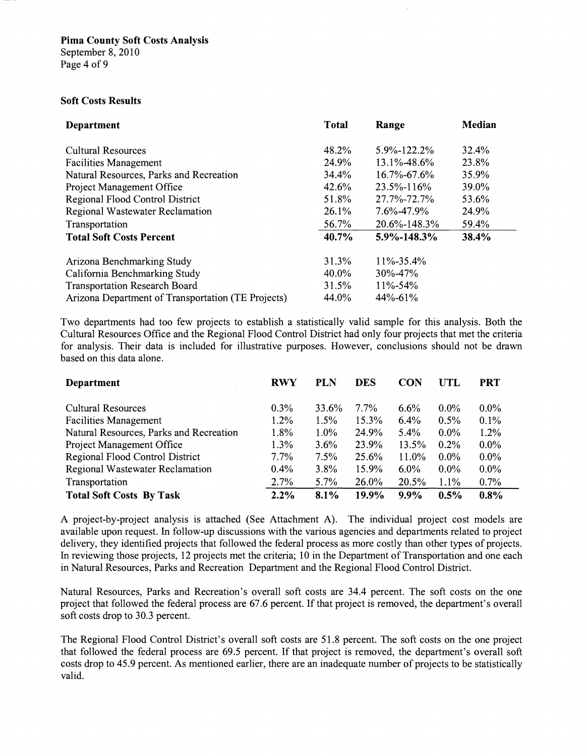#### **Soft Costs Results**

| <b>Department</b>                                  | <b>Total</b> | Range              | Median |
|----------------------------------------------------|--------------|--------------------|--------|
| <b>Cultural Resources</b>                          | 48.2%        | 5.9%-122.2%        | 32.4%  |
| <b>Facilities Management</b>                       | 24.9%        | $13.1\% - 48.6\%$  | 23.8%  |
| Natural Resources, Parks and Recreation            | 34.4%        | $16.7\% - 67.6\%$  | 35.9%  |
| Project Management Office                          | 42.6%        | 23.5%-116%         | 39.0%  |
| <b>Regional Flood Control District</b>             | 51.8%        | 27.7%-72.7%        | 53.6%  |
| Regional Wastewater Reclamation                    | 26.1%        | 7.6%-47.9%         | 24.9%  |
| Transportation                                     | 56.7%        | $20.6\% - 148.3\%$ | 59.4%  |
| <b>Total Soft Costs Percent</b>                    | 40.7%        | 5.9%-148.3%        | 38.4%  |
| Arizona Benchmarking Study                         | 31.3%        | $11\% - 35.4\%$    |        |
| California Benchmarking Study                      | 40.0%        | $30\% - 47\%$      |        |
| <b>Transportation Research Board</b>               | 31.5%        | $11\% - 54\%$      |        |
| Arizona Department of Transportation (TE Projects) | 44.0%        | $44\% - 61\%$      |        |

Two departments had too few projects to establish a statistically valid sample for this analysis. Both the Cultural Resources Office and the Regional Flood Control District had only four projects that met the criteria for analysis. Their data is included for illustrative purposes. However, conclusions should not be drawn based on this data alone.

| Department                              | <b>RWY</b> | PLN     | <b>DES</b> | <b>CON</b> | UTL     | PRT     |
|-----------------------------------------|------------|---------|------------|------------|---------|---------|
|                                         |            |         |            |            |         |         |
| Cultural Resources                      | $0.3\%$    | 33.6%   | 7.7%       | $6.6\%$    | $0.0\%$ | $0.0\%$ |
| <b>Facilities Management</b>            | $1.2\%$    | 1.5%    | 15.3%      | $6.4\%$    | 0.5%    | $0.1\%$ |
| Natural Resources, Parks and Recreation | 1.8%       | $1.0\%$ | 24.9%      | $5.4\%$    | $0.0\%$ | $1.2\%$ |
| Project Management Office               | $1.3\%$    | $3.6\%$ | 23.9%      | 13.5%      | $0.2\%$ | $0.0\%$ |
| Regional Flood Control District         | $7.7\%$    | 7.5%    | 25.6%      | 11.0%      | $0.0\%$ | $0.0\%$ |
| Regional Wastewater Reclamation         | $0.4\%$    | 3.8%    | 15.9%      | $6.0\%$    | $0.0\%$ | $0.0\%$ |
| Transportation                          | 2.7%       | $5.7\%$ | 26.0%      | 20.5%      | 1.1%    | $0.7\%$ |
| <b>Total Soft Costs By Task</b>         | $2.2\%$    | 8.1%    | 19.9%      | $9.9\%$    | $0.5\%$ | $0.8\%$ |

A project-by-project analysis is attached (See Attachment A). The individual project cost models are available upon request. In follow-up discussions with the various agencies and departments related to project delivery, they identified projects that followed the federal process as more costly than other types of projects. In reviewing those projects, 12 projects met the criteria; 10 in the Department of Transportation and one each in Natural Resources, Parks and Recreation Department and the Regional Flood Control District.

Natural Resources, Parks and Recreation's overall soft costs are 34.4 percent. The soft costs on the one project that followed the federal process are 67.6 percent. If that project is removed, the department's overall soft costs drop to 30.3 percent.

The Regional Flood Control District's overall soft costs are 5 1.8 percent. The soft costs on the one project that followed the federal process are 69.5 percent. If that project is removed, the department's overall soft costs drop to 45.9 percent. As mentioned earlier, there are an inadequate number of projects to be statistically valid.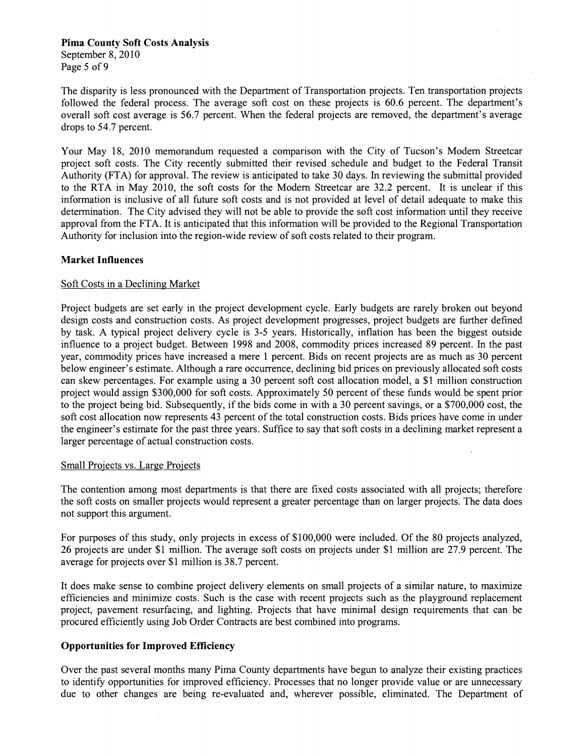#### **Pima County Soft Costs Analysis**

September 8,2010 Page 5 of 9

The disparity is less pronounced with the Department of Transportation projects. Ten transportation projects followed the federal process. The average soft cost on these projects is 60.6 percent. The department's overall soft cost average is 56.7 percent. When the federal projects are removed, the department's average drops to 54.7 percent.

Your May 18, 2010 memorandum requested a comparison with the City of Tucson's Modem Streetcar project soft costs. The City recently submitted their revised schedule and budget to the Federal Transit Authority (FTA) for approval. The review is anticipated to take 30 days. In reviewing the submittal provided to the RTA in May 2010, the soft costs for the Modem Streetcar are 32.2 percent. It is unclear if this information is inclusive of all future soft costs and is not provided at level of detail adequate to make this determination. The City advised they will not be able to provide the soft cost information until they receive approval from the FTA. It is anticipated that this information will be provided to the Regional Transportation Authority for inclusion into the region-wide review of soft costs related to their program.

#### **Market Influences**

#### Soft Costs in a Declining Market

Project budgets are set early in the project development cycle. Early budgets are rarely broken out beyond design costs and construction costs. As project development progresses, project budgets are further defined by task. A typical project delivery cycle is 3-5 years. Historically, inflation has been the biggest outside influence to a project budget. Between 1998 and 2008, commodity prices increased 89 percent. In the past year, commodity prices have increased a mere 1 percent. Bids on recent projects are as much as 30 percent below engineer's estimate. Although a rare occurrence, declining bid prices on previously allocated soft costs can skew percentages. For example using a 30 percent soft cost allocation model, a \$1 million construction project would assign \$300,000 for soft costs. Approximately 50 percent of these funds would be spent prior to the project being bid. Subsequently, if the bids come in with a 30 percent savings, or a \$700,000 cost, the soft cost allocation now represents 43 percent of the total construction costs. Bids prices have come in under the engineer's estimate for the past three years. Suffice to say that soft costs in a declining market represent a larger percentage of actual construction costs.

#### Small Projects vs. Large Projects

The contention among most departments is that there are fixed costs associated with all projects; therefore the soft costs on smaller projects would represent a greater percentage than on larger projects. The data does not support this argument.

For purposes of this study, only projects in excess of \$100,000 were included. Of the 80 projects analyzed, 26 projects are under \$1 million. The average soft costs on projects under \$1 million are 27.9 percent. The average for projects over \$1 million is 38.7 percent.

It does make sense to combine project delivery elements on small projects of a similar nature, to maximize efficiencies and minimize costs. Such is the case with recent projects such as the playground replacement project, pavement resurfacing, and lighting. Projects that have minimal design requirements that can be procured efficiently using Job Order Contracts are best combined into programs.

#### **Opportunities for Improved Efficiency**

Over the past several months many Pima County departments have begun to analyze their existing practices to identify opportunities for improved efficiency. Processes that no longer provide value or are unnecessary due to other changes are being re-evaluated and, wherever possible, eliminated. The Department of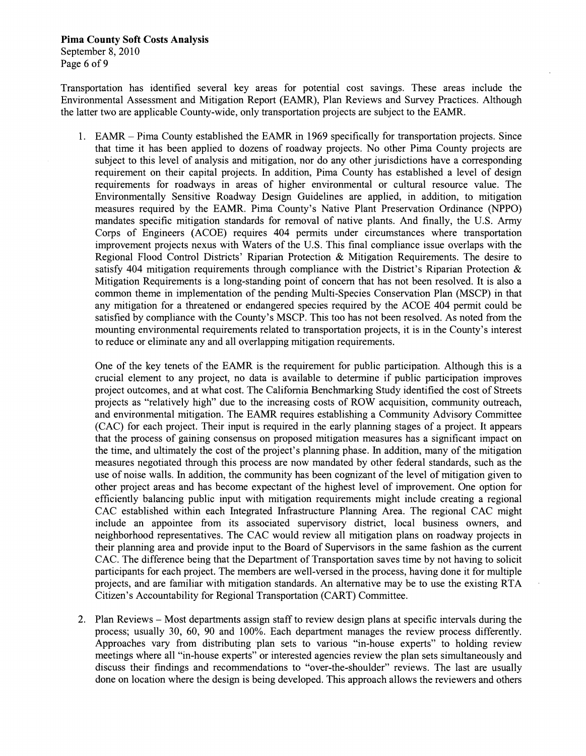**Pima County Soft Costs Analysis**  September 8, 2010 Page 6 of 9

Transportation has identified several key areas for potential cost savings. These areas include the Environmental Assessment and Mitigation Report (EAMR), Plan Reviews and Survey Practices. Although the latter two are applicable County-wide, only transportation projects are subject to the EAMR.

1. EAMR – Pima County established the EAMR in 1969 specifically for transportation projects. Since that time it has been applied to dozens of roadway projects. No other Pima County projects are subject to this level of analysis and mitigation, nor do any other jurisdictions have a corresponding requirement on their capital projects. In addition, Pima County has established a level of design requirements for roadways in areas of higher environmental or cultural resource value. The Environmentally Sensitive Roadway Design Guidelines are applied, in addition, to mitigation measures required by the EAMR. Pima County's Native Plant Preservation Ordinance (NPPO) mandates specific mitigation standards for removal of native plants. And finally, the U.S. Army Corps of Engineers (ACOE) requires 404 permits under circumstances where transportation improvement projects nexus with Waters of the U.S. This final compliance issue overlaps with the Regional Flood Control Districts' Riparian Protection & Mitigation Requirements. The desire to satisfy 404 mitigation requirements through compliance with the District's Riparian Protection  $\&$ Mitigation Requirements is a long-standing point of concern that has not been resolved. It is also a common theme in implementation of the pending Multi-Species Conservation Plan (MSCP) in that any mitigation for a threatened or endangered species required by the ACOE 404 permit could be satisfied by compliance with the County's MSCP. This too has not been resolved. As noted from the mounting environmental requirements related to transportation projects, it is in the County's interest to reduce or eliminate any and all overlapping mitigation requirements.

One of the key tenets of the EAMR is the requirement for public participation. Although this is a crucial element to any project, no data is available to determine if public participation improves project outcomes, and at what cost. The California Benchmarking Study identified the cost of Streets projects as "relatively high" due to the increasing costs of ROW acquisition, community outreach, and environmental mitigation. The EAMR requires establishing a Community Advisory Committee (CAC) for each project. Their input is required in the early planning stages of a project. It appears that the process of gaining consensus on proposed mitigation measures has a significant impact on the time, and ultimately the cost of the project's planning phase. In addition, many of the mitigation measures negotiated through this process are now mandated by other federal standards, such as the use of noise walls. In addition, the community has been cognizant of the level of mitigation given to other project areas and has become expectant of the highest level of improvement. One option for efficiently balancing public input with mitigation requirements might include creating a regional CAC established within each Integrated Infrastructure Planning Area. The regional CAC might include an appointee from its associated supervisory district, local business owners, and neighborhood representatives. The CAC would review all mitigation plans on roadway projects in their planning area and provide input to the Board of Supervisors in the same fashion as the current CAC. The difference being that the Department of Transportation saves time by not having to solicit participants for each project. The members are well-versed in the process, having done it for multiple projects, and are familiar with mitigation standards. An alternative may be to use the existing RTA Citizen's Accountability for Regional Transportation (CART) Committee.

2. Plan Reviews – Most departments assign staff to review design plans at specific intervals during the process; usually 30, 60, 90 and 100%. Each department manages the review process differently. Approaches vary from distributing plan sets to various "in-house experts" to holding review meetings where all "in-house experts" or interested agencies review the plan sets simultaneously and discuss their findings and recommendations to "over-the-shoulder" reviews. The last are usually done on location where the design is being developed. This approach allows the reviewers and others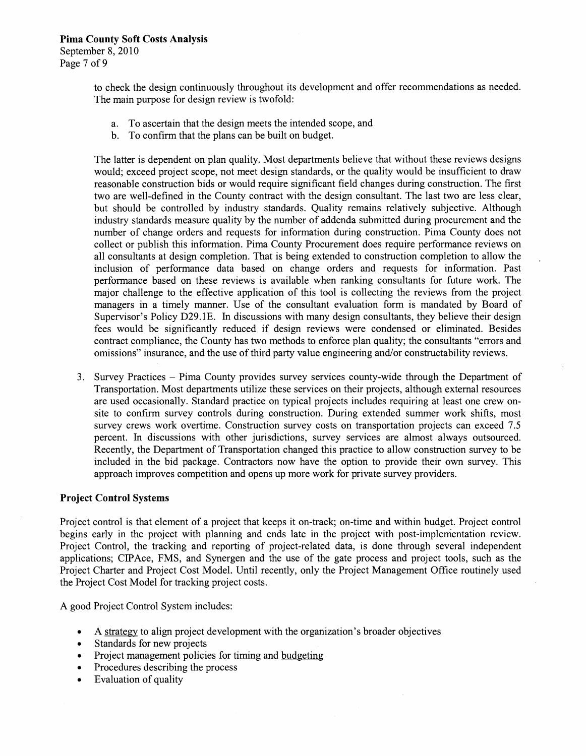to check the design continuously throughout its development and offer recommendations as needed. The main purpose for design review is twofold:

- a. To ascertain that the design meets the intended scope, and
- b. To confirm that the plans can be built on budget.

The latter is dependent on plan quality. Most departments believe that without these reviews designs would; exceed project scope, not meet design standards, or the quality would be insufficient to draw reasonable construction bids or would require significant field changes during construction. The first two are well-defined in the County contract with the design consultant. The last two are less clear, but should be controlled by industry standards. Quality remains relatively subjective. Although industry standards measure quality by the number of addenda submitted during procurement and the number of change orders and requests for information during construction. Pima County does not collect or publish this information. Pima County Procurement does require performance reviews on all consultants at design completion. That is being extended to construction completion to allow the inclusion of performance data based on change orders and requests for information. Past performance based on these reviews is available when ranking consultants for future work. The major challenge to the effective application of this tool is collecting the reviews from the project managers in a timely manner. Use of the consultant evaluation form is mandated by Board of Supervisor's Policy D29.1E. In discussions with many design consultants, they believe their design fees would be significantly reduced if design reviews were condensed or eliminated. Besides contract compliance, the County has two methods to enforce plan quality; the consultants "errors and omissions" insurance, and the use of third party value engineering and/or constructability reviews.

**3.** Survey Practices -Pima County provides survey services county-wide through the Department of Transportation. Most departments utilize these services on their projects, although external resources are used occasionally. Standard practice on typical projects includes requiring at least one crew onsite to confirm survey controls during construction. During extended summer work shifts, most survey crews work overtime. Construction survey costs on transportation projects can exceed 7.5 percent. In discussions with other jurisdictions, survey services are almost always outsourced. Recently, the Department of Transportation changed this practice to allow construction survey to be included in the bid package. Contractors now have the option to provide their own survey. This approach improves competition and opens up more work for private survey providers.

#### **Project Control Systems**

Project control is that element of a project that keeps it on-track; on-time and within budget. Project control begins early in the project with planning and ends late in the project with post-implementation review. Project Control, the tracking and reporting of project-related data, is done through several independent applications; CIPAce, FMS, and Synergen and the use of the gate process and project tools, such as the Project Charter and Project Cost Model. Until recently, only the Project Management Office routinely used the Project Cost Model for tracking project costs.

A good Project Control System includes:

- A strategy to align project development with the organization's broader objectives  $\bullet$
- Standards for new projects
- Project management policies for timing and budgeting
- Procedures describing the process  $\bullet$
- Evaluation of quality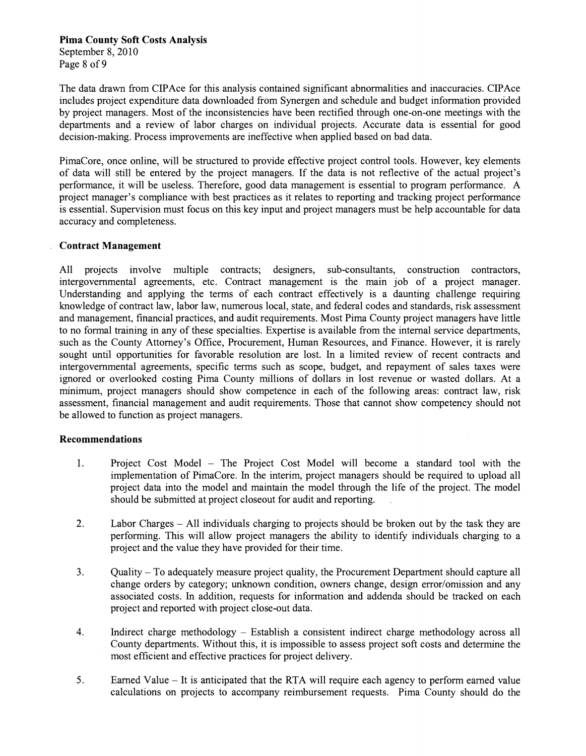#### **Pima County Soft Costs Analysis**  September 8, 2010 Page 8 of 9

The data drawn from CIPAce for this analysis contained significant abnormalities and inaccuracies. CPAce includes project expenditure data downloaded from Synergen and schedule and budget information provided by project managers. Most of the inconsistencies have been rectified through one-on-one meetings with the departments and a review of labor charges on individual projects. Accurate data is essential for good decision-making. Process improvements are ineffective when applied based on bad data.

PimaCore, once online, will be structured to provide effective project control tools. However, key elements of data will still be entered by the project managers. If the data is not reflective of the actual project's performance, it will be useless. Therefore, good data management is essential to program performance. A project manager's compliance with best practices as it relates to reporting and tracking project performance is essential. Supervision must focus on this key input and project managers must be help accountable for data accuracy and completeness.

#### **Contract Management**

All projects involve multiple contracts; designers, sub-consultants, construction contractors, intergovernmental agreements, etc. Contract management is the main job of a project manager. Understanding and applying the terms of each contract effectively is a daunting challenge requiring knowledge of contract law, labor law, numerous local, state, and federal codes and standards, risk assessment and management, financial practices, and audit requirements. Most Pima County project managers have little to no formal training in any of these specialties. Expertise is available from the internal service departments, such as the County Attorney's Office, Procurement, Human Resources, and Finance. However, it is rarely sought until opportunities for favorable resolution are lost. In a limited review of recent contracts and intergovernmental agreements, specific terms such as scope, budget, and repayment of sales taxes were ignored or overlooked costing Pima County millions of dollars in lost revenue or wasted dollars. At a minimum, project managers should show competence in each of the following areas: contract law, risk assessment, financial management and audit requirements. Those that cannot show competency should not be allowed to function as project managers.

#### **Recommendations**

- 1. Project Cost Model The Project Cost Model will become a standard tool with the implementation of PimaCore. In the interim, project managers should be required to upload all project data into the model and maintain the model through the life of the project. The model should be submitted at project closeout for audit and reporting. .
- 2. Labor Charges All individuals charging to projects should be broken out by the task they are performing. This will allow project managers the ability to identify individuals charging to a project and the value they have provided for their time.
- 3. Quality -To adequately measure project quality, the Procurement Department should capture all change orders by category; unknown condition, owners change, design error/omission and any associated costs. In addition, requests for information and addenda should be tracked on each project and reported with project close-out data.
- 4. Indirect charge methodology -Establish a consistent indirect charge methodology across all County departments. Without this, it is impossible to assess project soft costs and determine the most efficient and effective practices for project delivery.
- *5.*  Earned Value -It is anticipated that the RTA will require each agency to perform earned value calculations on projects to accompany reimbursement requests. Pima County should do the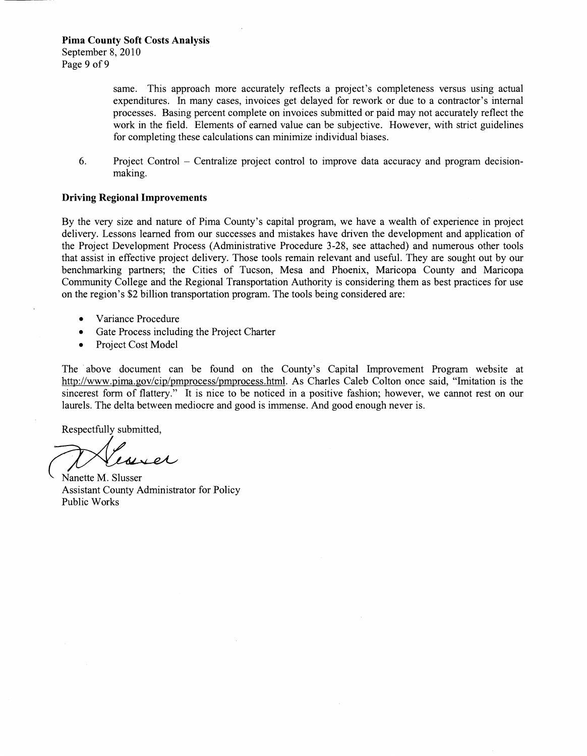same. This approach more accurately reflects a project's completeness versus using actual expenditures. In many cases, invoices get delayed for rework or due to a contractor's internal processes. Basing percent complete on invoices submitted or paid may not accurately reflect the work in the field. Elements of earned value can be subjective. However, with strict guidelines for completing these calculations can minimize individual biases.

6. Project Control -Centralize project control to improve data accuracy and program decisionmaking.

#### **Driving Regional Improvements**

By the very size and nature of Pima County's capital program, we have a wealth of experience in project delivery. Lessons learned fiom our successes and mistakes have driven the development and application of the Project Development Process (Administrative Procedure 3-28, see attached) and numerous other tools that assist in effective project delivery. Those tools remain relevant and useful. They are sought out by our benchmarking partners; the Cities of Tucson, Mesa and Phoenix, Maricopa County and Maricopa Community College and the Regional Transportation Authority is considering them as best practices for use on the region's \$2 billion transportation program. The tools being considered are:

- Variance Procedure
- Gate Process including the Project Charter
- Project Cost Model  $\bullet$

The above document can be found on the County's Capital Improvement Program website at http://www.pima.gov/cip/pmprocess/pmprocess.html. As Charles Caleb Colton once said, "Imitation is the sincerest form of flattery." It is nice to be noticed in a positive fashion; however, we cannot rest on our laurels. The delta between mediocre and good is immense. And good enough never is.

Respectfully submitted,

\ Nanette M. Slusser

Assistant County Administrator for Policy Public Works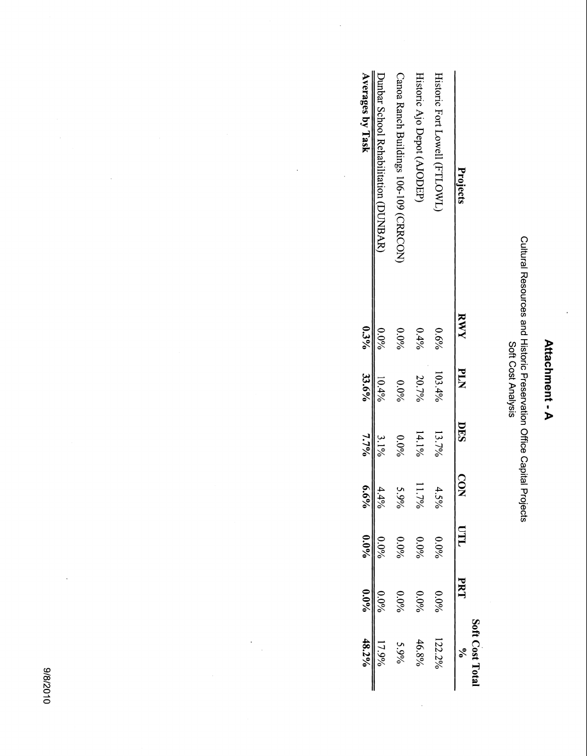| c |
|---|
|   |
|   |
|   |
|   |
|   |
|   |
|   |
| ı |
|   |
|   |
| ø |
|   |
|   |
|   |
|   |
|   |

# Cultural Resources and Historic Preservation Office Capital Projects Soft Cost Analysis Cultural Resources and Historic Preservation Office Capital Projects<br>Soft Cost Analysis

|                                         |            |               |            |                         |         |            | Soft Cost Tota |
|-----------------------------------------|------------|---------------|------------|-------------------------|---------|------------|----------------|
| Projects                                | <b>KWY</b> | <b>PLN</b>    | <b>DES</b> | $\overline{\textbf{Q}}$ | ПIJ     | <b>PR1</b> |                |
| Historic Fort Lowell (FTLOWL            | $0.6\%$    | 103.4%        | 13.7%      | 4<br>ن<br>%             | $0.0\%$ | $0.0\%$    | 122.2%         |
| Historic Ajo Depot (AJODEP)             | $0.4\%$    | 20.7%         | $14.1\%$   | $11.7\%$                | $0.0\%$ | $0.0\%$    | 46.8%          |
| Canoa Ranch Buildings 106-109 (CRRCON)  | $0.0\%$    | $0.0\%$       | $0.0\%$    |                         | $0.0\%$ | $0.0\%$    | $5.9\%$        |
| DunBAR)<br>Dunbar School Rehabilitation | $0.0\%$    | 10.4%         | $3.1\%$    | 4%                      | $0.0\%$ | $0.0\%$    | 17.9%          |
| Averages by Task                        |            | $0.3\%$ 33.6% | $7.7\%$    | $6.6\%$                 | $0.0\%$ | $0.0\%$    | 48.2%          |
|                                         |            |               |            |                         |         |            |                |

 $\ddot{\phantom{0}}$ 

 $\ddot{\phantom{a}}$ 

 $\ddot{\cdot}$ 

 $\ddot{\phantom{a}}$ 

010Z/8/6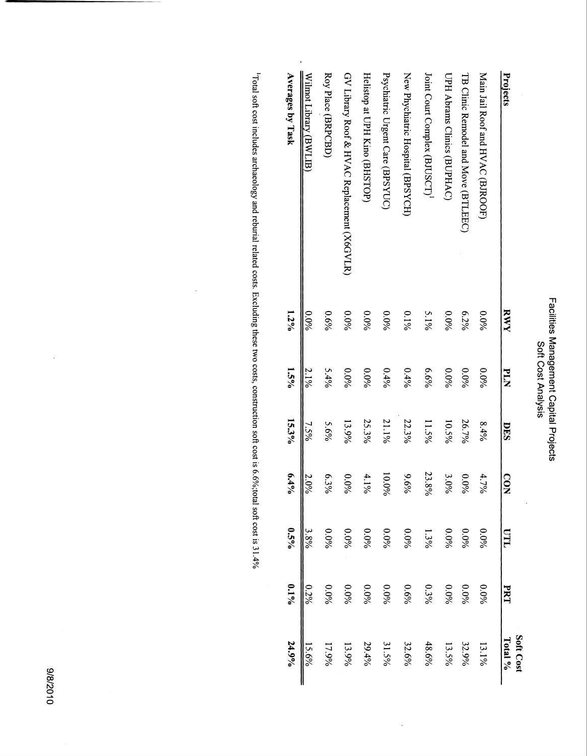### Facilities Management Capital Projects<br>Soft Cost Analysis Facilities Management Capital Projects Soft Cost Analysis

 $\ddot{\phantom{a}}$ 

|                                             |         |             |       |          |         |         | Soft Cost |
|---------------------------------------------|---------|-------------|-------|----------|---------|---------|-----------|
| Projects                                    | RWY     | <b>NLIA</b> | DES   | CON      | ПLO     | PRT     | Total %   |
| Main Jail Roof and HVAC (BJROOF)            | $0.0\%$ | $0.0\%$     | 8.4%  | 4.7%     | $0.0\%$ | $0.0\%$ | $13.1\%$  |
| TB Clinic Remodel and Move (BTLEEC)         | 6.2%    | 0.0%        | 26.7% | $0.0\%$  | 0.0%    | $0.0\%$ | 32.9%     |
| UPH Abrams Clinics (BUPHAC)                 | $0.0\%$ | $0.0\%$     | 10.5% | 3.0%     | 0.0%    | $0.0\%$ | 13.5%     |
| Joint Court Complex (BJUSCT) <sup>1</sup>   | $5.1\%$ | $6.6\%$     | 11.5% | 23.8%    | $1.3\%$ | $0.3\%$ | 48.6%     |
| New Phychiatric Hospital (BPSYCH)           | $0.1\%$ | 0.4%        | 22.3% | $9.6\%$  | 0.0%    | $0.6\%$ | 32.6%     |
| Psychiatric Urgent Care (BPSYUC)            | $0.0\%$ | 0.4%        | 21.1% | $10.0\%$ | $0.0\%$ | $0.0\%$ | 31.5%     |
| Helistop at UPH Kino (BHSTOP)               | 0.0%    | $0.0\%$     | 25.3% | $4.1\%$  | $0.0\%$ | $0.0\%$ | 29.4%     |
| GV Library Roof & HVAC Replacement (X6GVLR) | $0.0\%$ | $0.0\%$     | 13.9% | $0.0\%$  | $0.0\%$ | 960.0   | 13.9%     |
| Roy Place (BRPCBD)                          | $0.6\%$ | 5.4%        | 5.6%  | 6.3%     | $0.0\%$ | 0.0%    | 17.9%     |
| Wilmot Library (BWLIB)                      | $0.0\%$ | $2.1\%$     | 7.5%  | 2.0%     | 3.8%    | $0.2\%$ | 15.6%     |
| Averages by Task                            | $1.2\%$ | $1.5\%$     | 15.3% | $6.4\%$  | $0.5\%$ | $0.1\%$ | 24.9%     |

 $\ddot{\phantom{0}}$ 

Total soft cost includes archaeology and reburial related costs. Excluding these two costs, construction soft cost is 6.6%;total soft cost is <sup>1</sup>Total soft cost includes archaeology and reburial related costs. Excluding these two costs, construction soft cost is 6.6%;total soft cost is 31.4%

 $\ddot{\phantom{a}}$ 

J.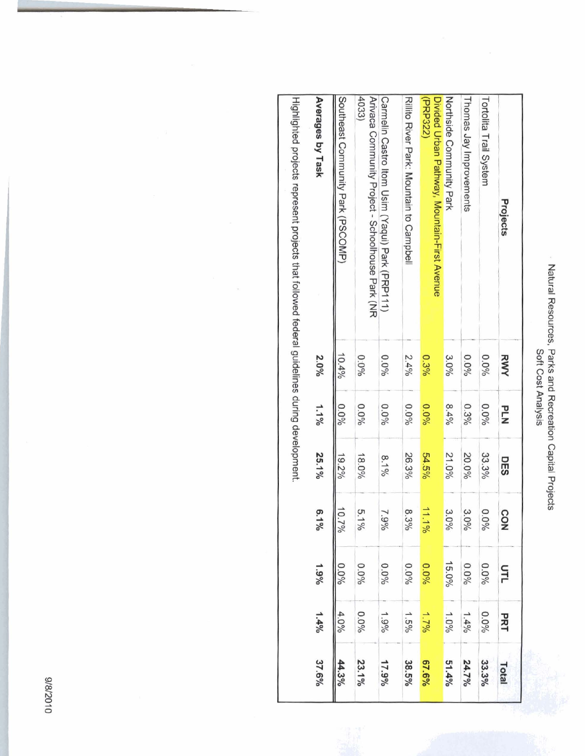|                         | annunce.                               |
|-------------------------|----------------------------------------|
| <b>AIDITY JODA 1100</b> | <b>PAILS SILE</b><br>nn Kecreauv.<br>Î |
|                         |                                        |

| Natural Resources, Parks and Recreation Capital Projects                                     | Soft Cost Analysis |            |            |                           |          |                   |                   |
|----------------------------------------------------------------------------------------------|--------------------|------------|------------|---------------------------|----------|-------------------|-------------------|
| Projects                                                                                     | RWY                | <b>PLN</b> | <b>DES</b> | CON                       | url      | PRT               | Total             |
| Tortolita Trail System                                                                       | $0.0\%$            | $0.0\%$    | 33.3%      | $0.0\%$                   | $0.0\%$  | $0.0\%$           | 33.3%             |
| Thomas Jay Improvements                                                                      | $0.0\%$            | $0.3\%$    | 20.0%      | $3.0\%$                   | $0.0\%$  | 1.496             | 24.7%             |
| Northside Community Park                                                                     | $3.0\%$            | 8.4%       | 21.0%      | $\tilde{\omega}$<br>$0\%$ | $15.0\%$ | $1.0\%$           | 51.4 <sup>0</sup> |
| (PRP322)<br>Divided Urban Pathway, Mountain-First Avenue                                     | 0.3%               | $0.0\%$    | 54.5%      | 11.1%                     | 0.0%     | 1.796             | $67.6\%$          |
| Rillito Kiver Park: Mountain to Campbell                                                     | 2.4%               | $0.0\%$    | 26.3%      | $\infty$<br>3%            | $0.0\%$  | $1.5\%$           | 38.5%             |
| Carmelin Castro Itom Usim (Yaqui) Park (PRP111)                                              | $0.0\%$            | $0.0\%$    | $8.1\%$    | 7.9%                      | $0.0\%$  | 1.9% <sub>6</sub> | 17.9%             |
| 4033)<br>Arivaca Community Project - Schoolhouse Park (NR                                    | $0.0\%$            | $0.0\%$    | $18.0\%$   | ō.<br>$1\%$               | 0.0%     | $0.0\%$           | 23.1%             |
| Southeast Community Park (PSCOMP)                                                            | 10.4%              | $0.0\%$    | $19.2\%$   | 10.7%                     | $0.00\%$ | 4.0%              | 44.3%             |
| Averages by Task                                                                             | 2.0%               | 1.1%       | 25.1%      | ō.<br>$-64$               | $1.9\%$  | $1.4\%$           | 37.6%             |
| Highlighted projects represent projects that followed federal guidelines during development. |                    |            |            |                           |          |                   |                   |

&

010Z/8/6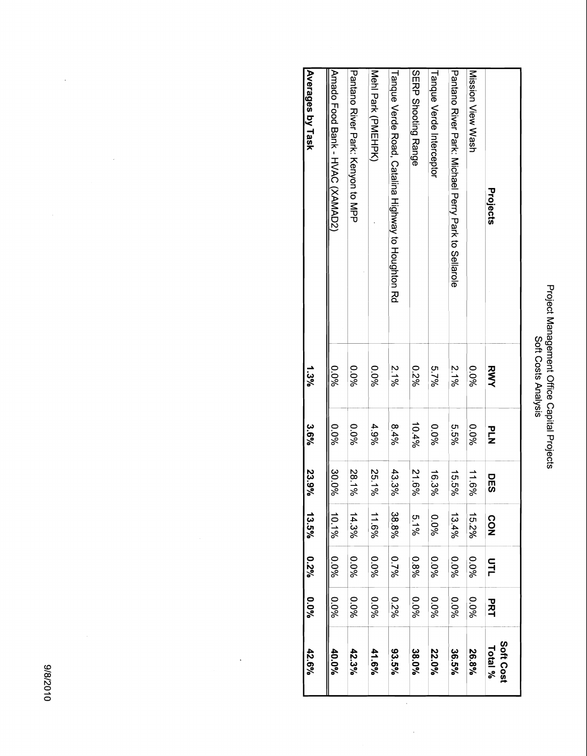# Project Management Office Capital Projects<br>Soft Costs Analysis Project Management Office Capital Projects Soft Costs Analysis

| Projects                                            | RWY     | PLZ     | <b>DES</b> | <b>CON</b> | 다<br>그  | マスコ     | Soft Cost<br>Total % |
|-----------------------------------------------------|---------|---------|------------|------------|---------|---------|----------------------|
| Mission View Wash                                   | $0.0\%$ | $0.0\%$ | 11.6%      | 15.2%      | 960'0   | $0.0\%$ | 26.8%                |
| Pantano River Park: Michael Perry Park to Wellarole | 2.1%    | %9.9    | 15.5%      | 13.4%      | $0.0\%$ | $0.0\%$ | 36.5%                |
| Tanque Verde Interceptor                            | 5.7%    | $0.0\%$ | $16.3\%$   | $0.0\%$    | $0.0\%$ | 960.0   | 22.0%                |
| <b>SIRU Strooting Range</b>                         | 0.2%    | 10.4%   | 21.6%      | $5.1\%$    | 0.8%    | 960'0   | 38.0%                |
| Tanque Verde Road, Catalina Highway to Houghton Rd  | $2.1\%$ | $8.4\%$ | 43.3%      | 38.8%      | 0.7%    | 9270    | 93.5%                |
| Meri Park (PMEHPK)                                  | $0.0\%$ | 4.9%    | 25.1%      | 11.6%      | $0.0\%$ | $0.0\%$ | 41.6%                |
| Pantano Kiver Park: Kenyor to MPP                   | 960.0   | $0.0\%$ | 28.1%      | 14.3%      | $0.0\%$ | 960'0   | 42.3%                |
| Amado Pood Bank - HVAC (XXNNAD2)                    | $0.0\%$ | $0.0\%$ | 30.0%      | 10.1%      | $0.0\%$ | $0.0\%$ | 40.0%                |
| Averages by Task                                    | 1.3%    | 3.6%    | 23.9%      | 13.5%      | $0.2\%$ | %0.0    | 42.6%                |

 $\frac{1}{2}$ 

 $\ddot{\phantom{0}}$ 

 $\ddot{\phantom{a}}$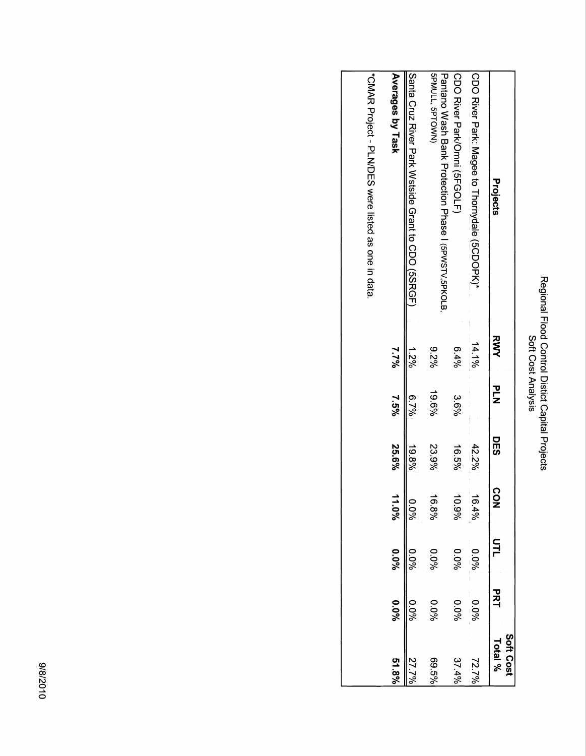## Regional Flood Control Distict Capital Projects<br>Soft Cost Analysis Regional Flood Control Distict Capital Projects Soft Cost Analysis

|                                                                         |          |        |          |                |         |         | Soft Cost |
|-------------------------------------------------------------------------|----------|--------|----------|----------------|---------|---------|-----------|
| Projects                                                                | スミ       | ]<br>ጋ | 모<br>55  | r,<br><u>୦</u> |         | 고<br>직  | Total %   |
| CDO River Park: Nagee to Thornydale (9CDOPK)*                           | $14.1\%$ |        | 42.2%    | 16.4%          | $0.0\%$ | $0.0\%$ | 72.7%     |
| CDO River ParkOmni (SFGOLF)                                             | $6.4\%$  | 3.6%   | $16.5\%$ | 10.9%          | $0.0\%$ | $0.0\%$ | 37.4%     |
| SPMULL, SPTOWN)<br>Pantano Wash Bank Protection Phase 1 (PPWSTV, PKOLB, | $9,2\%$  | %9.61  | 23.9%    | 16.8%          | $0.0\%$ | $0.0\%$ | 69.5%     |
| Santa Cruz Kiver Park Watside Grant to CDO (5SKGF)                      | 1.2%     | 6.7%   | $88\%$   | $0.0\%$        | $0.0\%$ | %0°     |           |
| Averages by Task                                                        | 1.7%     | 7.5%   | 25.6%    | 11.0%          | $0.0\%$ | $0.0\%$ | $51.8\%$  |
| "CMAR Project - PLN/DES were listed as one in data.                     |          |        |          |                |         |         |           |
|                                                                         |          |        |          |                |         |         |           |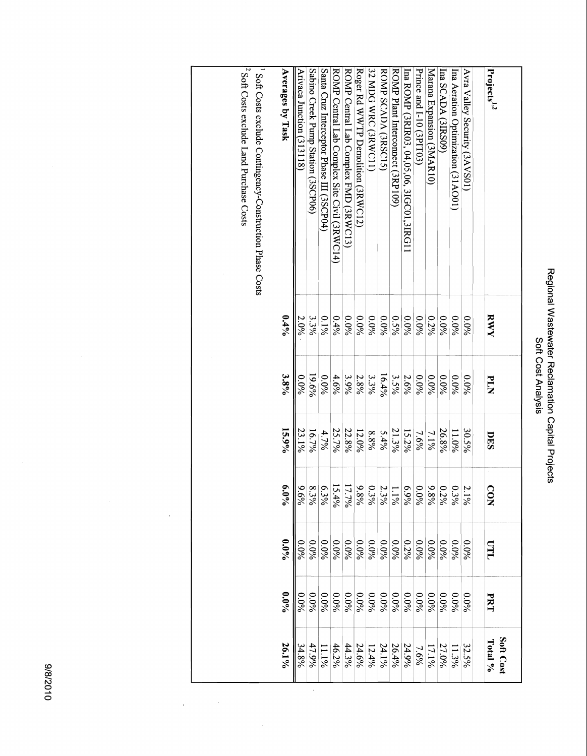| ft Cost Analysis | برون<br>ildil<br>Vastewater<br>Revater<br>Reclamatio<br>video uo. |
|------------------|-------------------------------------------------------------------|
|                  | rojec                                                             |

| Projects <sup>1,2</sup>                      | RWY     | <b>PLA</b> | DES      | CON                    | LLO                                | <b>PRT</b> | Soft Cost<br>Total % |
|----------------------------------------------|---------|------------|----------|------------------------|------------------------------------|------------|----------------------|
| Avra Valley Security (3AVS01)                | $0.0\%$ | $0.0\%$    | 30.5%    | Z.<br>$\frac{1}{8}$    | 0.0%                               | $0.0\%$    | 32.5%                |
| Ina Aeration Optimization (31AO01)           | $0.0\%$ | $0.0\%$    | $11.0\%$ | $\circ$<br>$3\%$       | $0.0\%$                            | $0.0\%$    | 11.3%                |
| Ina SCADA (3IRS09)                           | $0.0\%$ | $0.0\%$    | 26.8%    | $0.2\%$                | $0.0\%$                            | $0.0\%$    | 27.0%                |
| Marana Expansion (3MAR10)                    | $0.2\%$ | $0.0\%$    | $7.1\%$  | $\mathbf{e}$<br>$8\%$  | $0.0\%$                            | $0.0\%$    | 17.1%                |
| Prince and I-10 (3PIT03)                     | $0.0\%$ | $0.0\%$    | 7.6%     | $\circ$<br>$0\%$       | $0.0\%$                            | $0.0\%$    | 7.6%                 |
| Ina ROMP (3RIR03, 04,05,06, 3IGC01,3IRG11    | $0.0\%$ | 2.6%       | 15.2%    | $6.9\%$                | 0.2%                               | $0.0\%$    | 24.9%                |
| ROMP Plant Interconnect (3RP109)             | $0.5\%$ | 3.5%       | 21.3%    | $\overline{\varkappa}$ | $0.0\%$                            | $0.0\%$    | 26.4%                |
| ROMP SCADA (3RSC15)                          | $0.0\%$ | $16.4\%$   | 5.4%     | Z.<br>$3\%$            | $0.0\%$                            | $0.0\%$    | 24.1%                |
| 32 MDG WRC (3RWC11)                          | $0.0\%$ | 3.3%       | 8.8%     |                        | $0.0\%$                            | $0.0\%$    | $\frac{12.4\%}{1}$   |
| Roger Rd WWTP Demolition (3RWC12)            | $0.0\%$ | 2.8%       | 12.0%    | $\frac{0.3\%}{9.8\%}$  | $\frac{0.0\%}{\frac{1}{\sqrt{2}}}$ | $0.0\%$    | 24.6%                |
| ROMP Central Lab Complex FMD (3RWC13)        | $0.0\%$ | 3.9%       | 22.8%    | 17.7%                  | $\frac{0.096}{8}$                  | $0.0\%$    | 44.3%                |
| ROMP Central Lab Complex Site Civil (3RWC14) | 0.496   | 4.6%       | 25.7%    | 15.4%                  | 960.0                              | 960.0      | 46.2%                |
| Santa Cruz Interceptor Phase III (3SCP04)    | $0.1\%$ | $0.0\%$    | 4.7%     |                        | 0.0%                               | 0.0%       | 11.1%                |
| Sabino Creek Pump Station (3SCP06)           | 3.3%    | 19.6%      | 16.7%    | $\frac{6.3\%}{8.3\%}$  | $0.0\%$                            | $0.0\%$    | 47.9%                |
| Arivaca Junction (313118)                    | 2.0%    | $0.0\%$    | 23.1%    | ء∖∥<br>$6\%$           | 0.0%                               | $0.0\%$    | 34.8%                |
| Averages by Task                             | 0.49'   | $3.8\%$    | 15.9%    | $6.0\%$                | $0.0\%$                            | $0.0\%$    | 26.1%                |

Soft Costs exclude Land Purchase Costs

 $\overline{a}$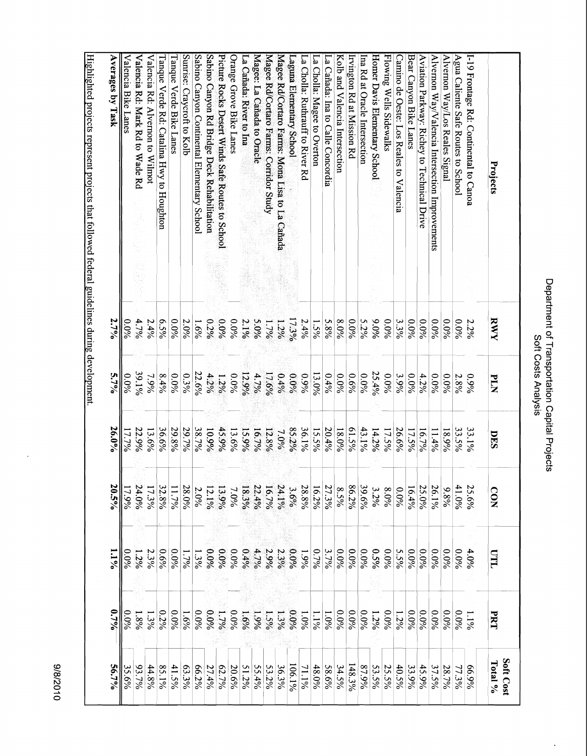#### Picture Rocks Desert Winds Safe Routes to School<br>Sabino Canyon Rd Bridge Deck Rehabilitation<br>Sabino Canyon Continental Elementary School<br>Sunrise: Craycroft to Kolb Flowing Wells Sidewalks Agua Caliente Safe Routes to School Averages by Task Valencia Bike Lanes Valencia Rd: Mark Rd to Wade Rd Valencia Rd: Alvernon to Wilmot **Sabino Canyon Rd Bridge Deck Rehabilitation Picture Rocks Desert Winds Safe Routes to School**  Orange Grove Bike Lanes La Cañada: River to Ina Magee: La Cañada to Oracle Magee Rd/Cortaro Farms: Corridor Study Magee Rd/Cortaro Farms: Mona Lisa to La Cañada La Cholla: Ruthrauff to River Rd La Cholla: Magee to Overton La Cañada: Ina to Calle Concordia Kolb and Valencia Intersection Irvington Rd at Mission Rd Ina Rd at Oracle Intersection Homer Davis Elementary School Camino de Oeste: Los Reales to Valencia Bear Canyon Bike Lanes Aviation Parkway: Richey to Technical Drive Alvernon Way/Valencia Intersection Improvements Alvernon Way/Los Reales Signal I-19 Frontage Rd: Continental to Canoa Tanque Verde Rd: Catalina Hwy to Houghton Tanque Verde Bike Lanes Laguna Elementary School Projects 2.7% 4.7%  $6.5\%$  $0.0966$ 2.0%  $0.2%$ 960.6  $0.0\%$ 5.0% 17.3%  $2.4%$  $5.8\%$ 8.0% 960.0%  $5.2%$ 9.0% 0.0%  $3.3%$  $0.096$  $0.0\%$  $0.0\%$  $0.0\%$  $0.0\%$ RWY  $\frac{0.0\%}{2}$  $2.4%$  $-69.6$ 2.1%  $1.7%$  $1.2%$  $\frac{1.5\%}{2}$ 2.2%  $5.7\%$  $0.6\%$  $\frac{0.096}{8}$  $\frac{0.096}{1}$ 39.1%  $8.4%$  $0.0\%$  $0.3\%$ 22.6%  $4.2%$  $1.2\%$  $0.0\%$ 12.9% 4.7% 17.6%  $0.4\%$  $6.0\%$  $0.9\%$ 13.0%  $0.4\%$  $\frac{0.096}{8}$ 25.4%  $0.0\%$ 3.9%  $0.0\%$ 4.2%  $\frac{0.096}{8}$  $0.0\%$ **PLN**  $7.9\%$ 2.8%  $660$ 26.0% 36.6% 29.7% 38.7% 45.9% 85.2% 36.1% 61.5%  $\frac{43.1\%}{1}$  $17.7\%$ 22.9% 13.6% 29.8% 10.9% 13.6% 15.9%  $16.7%$ 12.8% 7.0% 15.5% 20.4% 18.0% 14.2% 17.5% 26.6% 17.5% 16.7%  $11.4%$ 33.5% 33.1% 18.9% DES 20.5% 86.2%  $\frac{41.0%}{1}$ 24.0% 32.8% 11.7% 28.0% 2.0% 13.9% 18.3% 22.4%  $16.7\%$ 24.1% 3.6% 28.8%  $16.2%$ 27.3% 8.5% 39.6% 8.0%  $17.9%$ 17.3% 12.1%  $7.0\%$ 3.2%  $0.0\%$  $16.4%$ 25.0%  $26.1%$  $9.896$ 25.6% CON  $0.6\%$  $0.0\%$  $1.3\%$  $0.0%$  $0.0\%$  $0.0\%$  $0.496$  $4.7\%$ 2.9% 2.3% 9,0%  $0.7\%$  $3.7\%$ 960.0  $\frac{0.096}{8}$  $\frac{0.096}{8}$  $9.5\%$  $0.0\%$  $5.5\%$  $0.0\%$  $0.0\%$  $0.0\%$  $0.0\%$ m  $1.1\%$  $\frac{0.096}{1}$  $1.2\%$ 2.3%  $\frac{1.796}{2}$  $1.9%$  $0.0\%$  $4.0%$  $0.7\%$  $\frac{0.0\%}{0.0}$ 0.2%  $\frac{0.096}{8}$  $\frac{1.6\%}{2}$  $60.0\%$ 9,0%  $0.0\%$  $1.5%$ 0.0%  $\frac{0.096}{8}$  $0.0\%$  $\frac{0.096}{8}$  $0.0\%$  $0.0\%$ 0.0%  $\frac{0.096}{8}$ 0.0%  $0.0\%$  $1.896$  $1.3%$  $1.7%$  $1.690$ 1.9%  $1.3\%$  $1.0\%$  $\frac{1.196}{1}$  $1.2%$ **PRT** 1.0%  $1.2%$  $1.1\%$ Soft Cost Total %  $93.7%$ 44.8%  $41.5%$ 63.3% 62.7%  $51.2%$  $55.4%$ 53.2% 48.0% 148.3% 87.9% 25.5% 56.7%  $35.6\%$ 85.1%  $66.2\%$ 27.4% 20.6% 36.3% 106.1%  $11.1\%$ 58.6% 34.5% 53.5% 40.5% 33.9% 45.9% 37.5% 28.7% 66.9% 77.3%

Highlighted projects represent projects that followed federal guidelines during development

**laighlighted projects represent projects that followed federal guidelines during development.** 

010Z/8/6

Department of Transportation Capital Projects Department of Transportation Capital Projects Soft Costs Analysis Soft Costs Analysis